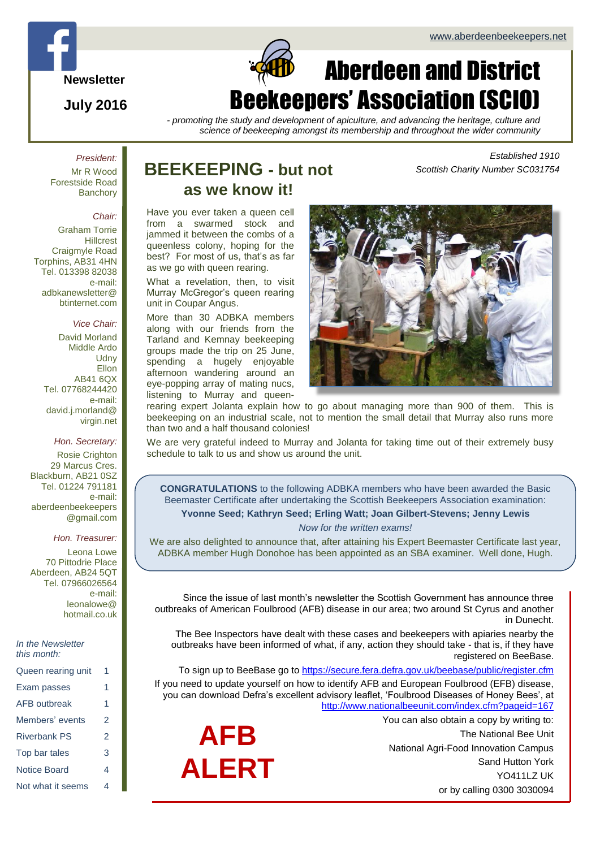*Scottish Charity Number SC031754*

*Established 1910*

**Newsletter**

**July 2016**

### Page 1 of  $\alpha$ Aberdeen and District Beekeepers' Association (SCIO)

*- promoting the study and development of apiculture, and advancing the heritage, culture and science of beekeeping amongst its membership and throughout the wider community*

*President:* Mr R Wood Forestside Road **Banchory** 

#### *Chair:*

Graham Torrie **Hillcrest** Craigmyle Road Torphins, AB31 4HN Tel. 013398 82038 e-mail: adbkanewsletter@ btinternet.com

#### *Vice Chair:*

David Morland Middle Ardo **Udny** Ellon AB41 6QX Tel. 07768244420 e-mail: david.j.morland@ virgin.net

*Hon. Secretary:*

Rosie Crighton 29 Marcus Cres. Blackburn, AB21 0SZ Tel. 01224 791181 e-mail: aberdeenbeekeepers @gmail.com

*Hon. Treasurer:*

Leona Lowe 70 Pittodrie Place Aberdeen, AB24 5QT Tel. 07966026564 e-mail: leonalowe@ hotmail.co.uk

*In the Newsletter this month:*

| Queen rearing unit  | 1 |
|---------------------|---|
| Exam passes         | 1 |
| <b>AFB</b> outbreak | 1 |
| Members' events     | 2 |
| <b>Riverbank PS</b> | 2 |
| Top bar tales       | 3 |
| Notice Board        | 4 |
| Not what it seems   | 4 |

### **BEEKEEPING - but not as we know it!**

Have you ever taken a queen cell from a swarmed stock and jammed it between the combs of a queenless colony, hoping for the best? For most of us, that's as far as we go with queen rearing.

What a revelation, then, to visit Murray McGregor's queen rearing unit in Coupar Angus.

More than 30 ADBKA members along with our friends from the Tarland and Kemnay beekeeping groups made the trip on 25 June, spending a hugely enjoyable afternoon wandering around an eye-popping array of mating nucs, listening to Murray and queen-



rearing expert Jolanta explain how to go about managing more than 900 of them. This is beekeeping on an industrial scale, not to mention the small detail that Murray also runs more than two and a half thousand colonies!

We are very grateful indeed to Murray and Jolanta for taking time out of their extremely busy schedule to talk to us and show us around the unit.

**CONGRATULATIONS** to the following ADBKA members who have been awarded the Basic Beemaster Certificate after undertaking the Scottish Beekeepers Association examination: **Yvonne Seed; Kathryn Seed; Erling Watt; Joan Gilbert-Stevens; Jenny Lewis**

*Now for the written exams!*

We are also delighted to announce that, after attaining his Expert Beemaster Certificate last year, ADBKA member Hugh Donohoe has been appointed as an SBA examiner. Well done, Hugh.

Since the issue of last month's newsletter the Scottish Government has announce three outbreaks of American Foulbrood (AFB) disease in our area; two around St Cyrus and another in Dunecht.

The Bee Inspectors have dealt with these cases and beekeepers with apiaries nearby the outbreaks have been informed of what, if any, action they should take - that is, if they have registered on BeeBase.

To sign up to BeeBase go to<https://secure.fera.defra.gov.uk/beebase/public/register.cfm> If you need to update yourself on how to identify AFB and European Foulbrood (EFB) disease, you can download Defra's excellent advisory leaflet, 'Foulbrood Diseases of Honey Bees', at <http://www.nationalbeeunit.com/index.cfm?pageid=167>

> You can also obtain a copy by writing to: The National Bee Unit National Agri-Food Innovation Campus Sand Hutton York YO411LZ UK or by calling 0300 3030094

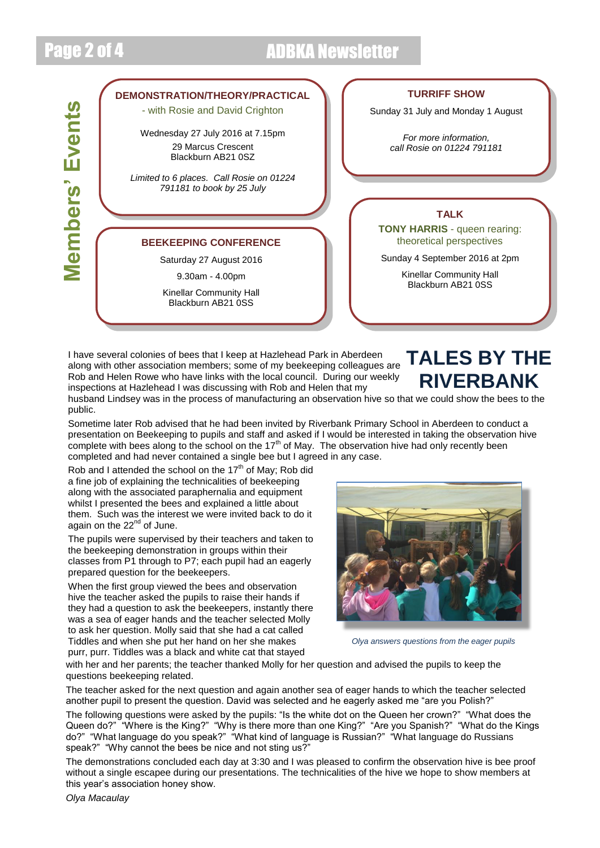## Page 2 of 4 ADBKA Newsletter



I have several colonies of bees that I keep at Hazlehead Park in Aberdeen along with other association members; some of my beekeeping colleagues are Rob and Helen Rowe who have links with the local council. During our weekly inspections at Hazlehead I was discussing with Rob and Helen that my

### **TALES BY THE RIVERBANK**

husband Lindsey was in the process of manufacturing an observation hive so that we could show the bees to the public.

Sometime later Rob advised that he had been invited by Riverbank Primary School in Aberdeen to conduct a presentation on Beekeeping to pupils and staff and asked if I would be interested in taking the observation hive complete with bees along to the school on the  $17<sup>th</sup>$  of May. The observation hive had only recently been completed and had never contained a single bee but I agreed in any case.

Rob and I attended the school on the  $17<sup>th</sup>$  of May: Rob did a fine job of explaining the technicalities of beekeeping along with the associated paraphernalia and equipment whilst I presented the bees and explained a little about them. Such was the interest we were invited back to do it again on the 22<sup>nd</sup> of June.

The pupils were supervised by their teachers and taken to the beekeeping demonstration in groups within their classes from P1 through to P7; each pupil had an eagerly prepared question for the beekeepers.

When the first group viewed the bees and observation hive the teacher asked the pupils to raise their hands if they had a question to ask the beekeepers, instantly there was a sea of eager hands and the teacher selected Molly to ask her question. Molly said that she had a cat called Tiddles and when she put her hand on her she makes purr, purr. Tiddles was a black and white cat that stayed



*Olya answers questions from the eager pupils*

with her and her parents; the teacher thanked Molly for her question and advised the pupils to keep the questions beekeeping related.

The teacher asked for the next question and again another sea of eager hands to which the teacher selected another pupil to present the question. David was selected and he eagerly asked me "are you Polish?"

The following questions were asked by the pupils: "Is the white dot on the Queen her crown?" "What does the Queen do?" "Where is the King?" "Why is there more than one King?" "Are you Spanish?" "What do the Kings do?" "What language do you speak?" "What kind of language is Russian?" "What language do Russians speak?" "Why cannot the bees be nice and not sting us?"

The demonstrations concluded each day at 3:30 and I was pleased to confirm the observation hive is bee proof without a single escapee during our presentations. The technicalities of the hive we hope to show members at this year's association honey show.

*Olya Macaulay*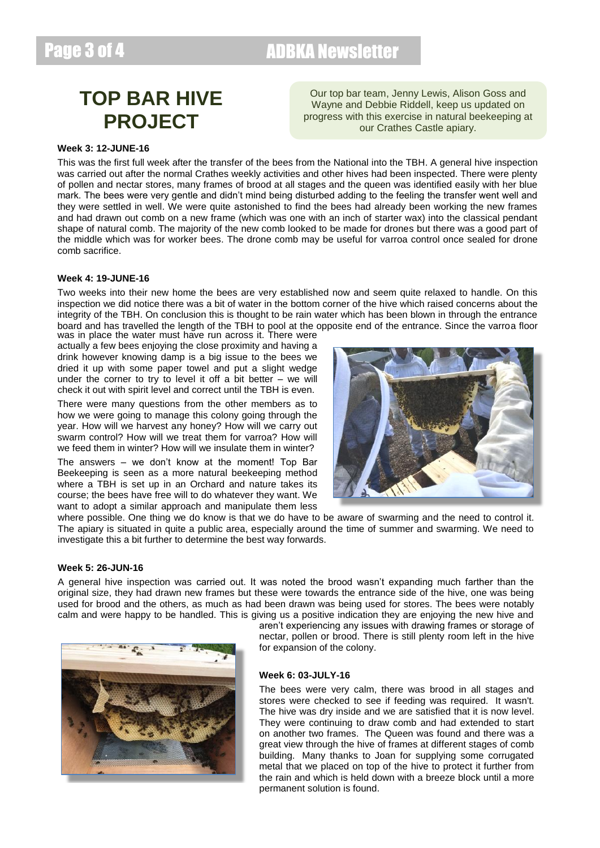### Page 3 of 4 ADBKA Newsletter

## **TOP BAR HIVE PROJECT**

Our top bar team, Jenny Lewis, Alison Goss and Wayne and Debbie Riddell, keep us updated on progress with this exercise in natural beekeeping at our Crathes Castle apiary.

#### **Week 3: 12-JUNE-16**

This was the first full week after the transfer of the bees from the National into the TBH. A general hive inspection was carried out after the normal Crathes weekly activities and other hives had been inspected. There were plenty of pollen and nectar stores, many frames of brood at all stages and the queen was identified easily with her blue mark. The bees were very gentle and didn't mind being disturbed adding to the feeling the transfer went well and they were settled in well. We were quite astonished to find the bees had already been working the new frames and had drawn out comb on a new frame (which was one with an inch of starter wax) into the classical pendant shape of natural comb. The majority of the new comb looked to be made for drones but there was a good part of the middle which was for worker bees. The drone comb may be useful for varroa control once sealed for drone comb sacrifice.

#### **Week 4: 19-JUNE-16**

Two weeks into their new home the bees are very established now and seem quite relaxed to handle. On this inspection we did notice there was a bit of water in the bottom corner of the hive which raised concerns about the integrity of the TBH. On conclusion this is thought to be rain water which has been blown in through the entrance board and has travelled the length of the TBH to pool at the opposite end of the entrance. Since the varroa floor

was in place the water must have run across it. There were actually a few bees enjoying the close proximity and having a drink however knowing damp is a big issue to the bees we dried it up with some paper towel and put a slight wedge under the corner to try to level it off a bit better  $-$  we will check it out with spirit level and correct until the TBH is even.

There were many questions from the other members as to how we were going to manage this colony going through the year. How will we harvest any honey? How will we carry out swarm control? How will we treat them for varroa? How will we feed them in winter? How will we insulate them in winter?

The answers – we don't know at the moment! Top Bar Beekeeping is seen as a more natural beekeeping method where a TBH is set up in an Orchard and nature takes its course; the bees have free will to do whatever they want. We want to adopt a similar approach and manipulate them less



where possible. One thing we do know is that we do have to be aware of swarming and the need to control it. The apiary is situated in quite a public area, especially around the time of summer and swarming. We need to investigate this a bit further to determine the best way forwards.

#### **Week 5: 26-JUN-16**

A general hive inspection was carried out. It was noted the brood wasn't expanding much farther than the original size, they had drawn new frames but these were towards the entrance side of the hive, one was being used for brood and the others, as much as had been drawn was being used for stores. The bees were notably calm and were happy to be handled. This is giving us a positive indication they are enjoying the new hive and



aren't experiencing any issues with drawing frames or storage of nectar, pollen or brood. There is still plenty room left in the hive for expansion of the colony.

#### **Week 6: 03-JULY-16**

The bees were very calm, there was brood in all stages and stores were checked to see if feeding was required. It wasn't. The hive was dry inside and we are satisfied that it is now level. They were continuing to draw comb and had extended to start on another two frames. The Queen was found and there was a great view through the hive of frames at different stages of comb building. Many thanks to Joan for supplying some corrugated metal that we placed on top of the hive to protect it further from the rain and which is held down with a breeze block until a more permanent solution is found.